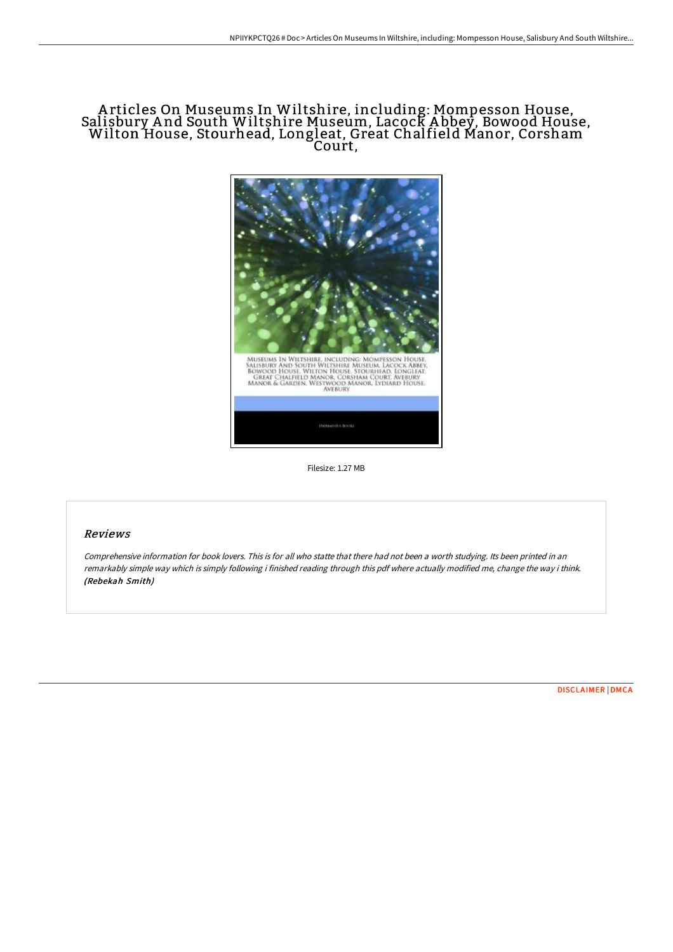## A rticles On Museums In Wiltshire, including: Mompesson House, Salisbury And South Wiltshire Museum, Lacock Abbey, Bowood House,<br>Wilton House, Stourhead, Longleat, Great Chalfield Manor, Corsham Court,



Filesize: 1.27 MB

## Reviews

Comprehensive information for book lovers. This is for all who statte that there had not been <sup>a</sup> worth studying. Its been printed in an remarkably simple way which is simply following i finished reading through this pdf where actually modified me, change the way i think. (Rebekah Smith)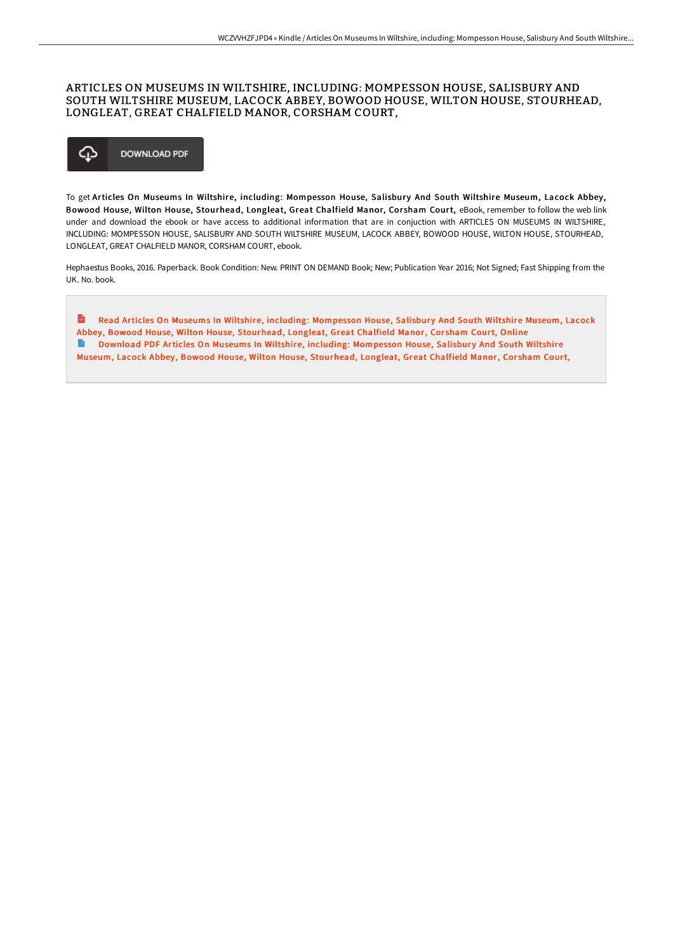## ARTICLES ON MUSEUMS IN WILTSHIRE, INCLUDING: MOMPESSON HOUSE, SALISBURY AND SOUTH WILTSHIRE MUSEUM, LACOCK ABBEY, BOWOOD HOUSE, WILTON HOUSE, STOURHEAD, LONGLEAT, GREAT CHALFIELD MANOR, CORSHAM COURT,



To get Articles On Museums In Wiltshire, including: Mompesson House, Salisbury And South Wiltshire Museum, Lacock Abbey, Bowood House, Wilton House, Stourhead, Longleat, Great Chalfield Manor, Corsham Court, eBook, remember to follow the web link under and download the ebook or have access to additional information that are in conjuction with ARTICLES ON MUSEUMS IN WILTSHIRE, INCLUDING: MOMPESSON HOUSE, SALISBURY AND SOUTH WILTSHIRE MUSEUM, LACOCK ABBEY, BOWOOD HOUSE, WILTON HOUSE, STOURHEAD, LONGLEAT, GREAT CHALFIELD MANOR, CORSHAM COURT, ebook.

Hephaestus Books, 2016. Paperback. Book Condition: New. PRINT ON DEMAND Book; New; Publication Year 2016; Not Signed; Fast Shipping from the UK. No. book.

 $\mathbf{m}$ Read Articles On Museums In Wiltshire, including: [Mompesson](http://digilib.live/articles-on-museums-in-wiltshire-including-mompe.html) House, Salisbury And South Wiltshire Museum, Lacock Abbey, Bowood House, Wilton House, Stourhead, Longleat, Great Chalfield Manor, Corsham Court, Online **Download PDF Articles On Museums In Wiltshire, including: [Mompesson](http://digilib.live/articles-on-museums-in-wiltshire-including-mompe.html) House, Salisbury And South Wiltshire** Museum, Lacock Abbey, Bowood House, Wilton House, Stourhead, Longleat, Great Chalfield Manor, Corsham Court,